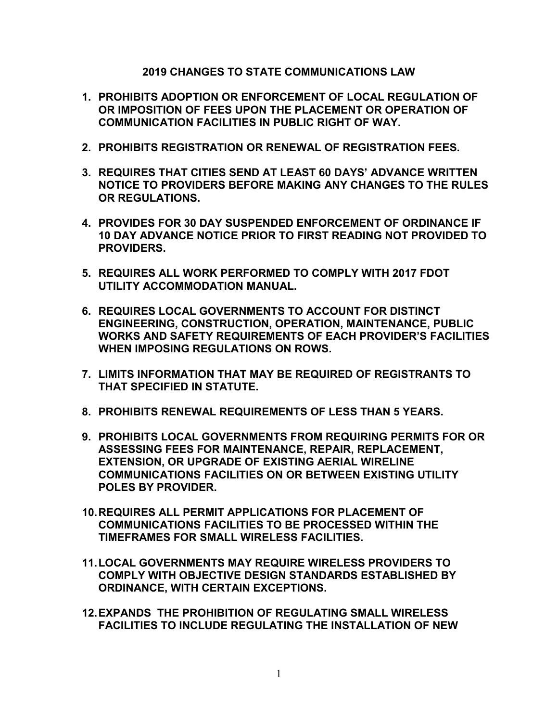**2019 CHANGES TO STATE COMMUNICATIONS LAW** 

- **1. PROHIBITS ADOPTION OR ENFORCEMENT OF LOCAL REGULATION OF OR IMPOSITION OF FEES UPON THE PLACEMENT OR OPERATION OF COMMUNICATION FACILITIES IN PUBLIC RIGHT OF WAY.**
- **2. PROHIBITS REGISTRATION OR RENEWAL OF REGISTRATION FEES.**
- **3. REQUIRES THAT CITIES SEND AT LEAST 60 DAYS' ADVANCE WRITTEN NOTICE TO PROVIDERS BEFORE MAKING ANY CHANGES TO THE RULES OR REGULATIONS.**
- **4. PROVIDES FOR 30 DAY SUSPENDED ENFORCEMENT OF ORDINANCE IF 10 DAY ADVANCE NOTICE PRIOR TO FIRST READING NOT PROVIDED TO PROVIDERS.**
- **5. REQUIRES ALL WORK PERFORMED TO COMPLY WITH 2017 FDOT UTILITY ACCOMMODATION MANUAL.**
- **6. REQUIRES LOCAL GOVERNMENTS TO ACCOUNT FOR DISTINCT ENGINEERING, CONSTRUCTION, OPERATION, MAINTENANCE, PUBLIC WORKS AND SAFETY REQUIREMENTS OF EACH PROVIDER'S FACILITIES WHEN IMPOSING REGULATIONS ON ROWS.**
- **7. LIMITS INFORMATION THAT MAY BE REQUIRED OF REGISTRANTS TO THAT SPECIFIED IN STATUTE.**
- **8. PROHIBITS RENEWAL REQUIREMENTS OF LESS THAN 5 YEARS.**
- **9. PROHIBITS LOCAL GOVERNMENTS FROM REQUIRING PERMITS FOR OR ASSESSING FEES FOR MAINTENANCE, REPAIR, REPLACEMENT, EXTENSION, OR UPGRADE OF EXISTING AERIAL WIRELINE COMMUNICATIONS FACILITIES ON OR BETWEEN EXISTING UTILITY POLES BY PROVIDER.**
- **10.REQUIRES ALL PERMIT APPLICATIONS FOR PLACEMENT OF COMMUNICATIONS FACILITIES TO BE PROCESSED WITHIN THE TIMEFRAMES FOR SMALL WIRELESS FACILITIES.**
- **11.LOCAL GOVERNMENTS MAY REQUIRE WIRELESS PROVIDERS TO COMPLY WITH OBJECTIVE DESIGN STANDARDS ESTABLISHED BY ORDINANCE, WITH CERTAIN EXCEPTIONS.**
- **12.EXPANDS THE PROHIBITION OF REGULATING SMALL WIRELESS FACILITIES TO INCLUDE REGULATING THE INSTALLATION OF NEW**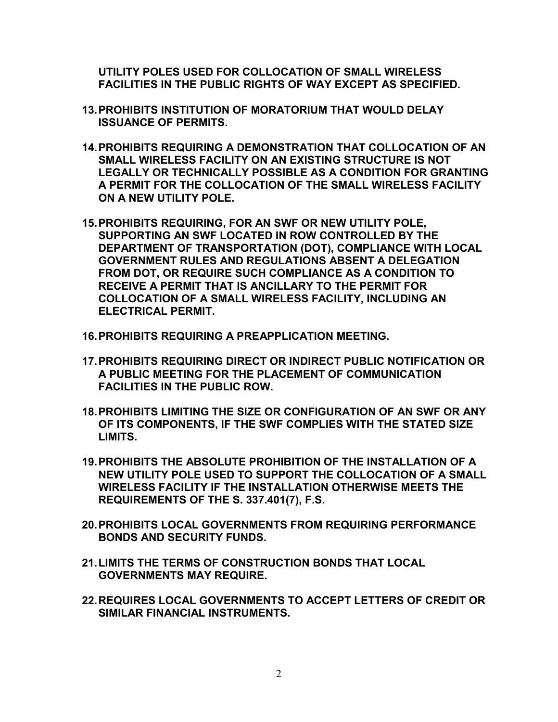**UTILITY POLES USED FOR COLLOCATION OF SMALL WIRELESS FACILITIES IN THE PUBLIC RIGHTS OF WAY EXCEPT AS SPECIFIED.**

- **13.PROHIBITS INSTITUTION OF MORATORIUM THAT WOULD DELAY ISSUANCE OF PERMITS.**
- **14.PROHIBITS REQUIRING A DEMONSTRATION THAT COLLOCATION OF AN SMALL WIRELESS FACILITY ON AN EXISTING STRUCTURE IS NOT LEGALLY OR TECHNICALLY POSSIBLE AS A CONDITION FOR GRANTING A PERMIT FOR THE COLLOCATION OF THE SMALL WIRELESS FACILITY ON A NEW UTILITY POLE.**
- **15.PROHIBITS REQUIRING, FOR AN SWF OR NEW UTILITY POLE, SUPPORTING AN SWF LOCATED IN ROW CONTROLLED BY THE DEPARTMENT OF TRANSPORTATION (DOT), COMPLIANCE WITH LOCAL GOVERNMENT RULES AND REGULATIONS ABSENT A DELEGATION FROM DOT, OR REQUIRE SUCH COMPLIANCE AS A CONDITION TO RECEIVE A PERMIT THAT IS ANCILLARY TO THE PERMIT FOR COLLOCATION OF A SMALL WIRELESS FACILITY, INCLUDING AN ELECTRICAL PERMIT.**
- **16.PROHIBITS REQUIRING A PREAPPLICATION MEETING.**
- **17.PROHIBITS REQUIRING DIRECT OR INDIRECT PUBLIC NOTIFICATION OR A PUBLIC MEETING FOR THE PLACEMENT OF COMMUNICATION FACILITIES IN THE PUBLIC ROW.**
- **18.PROHIBITS LIMITING THE SIZE OR CONFIGURATION OF AN SWF OR ANY OF ITS COMPONENTS, IF THE SWF COMPLIES WITH THE STATED SIZE LIMITS.**
- **19.PROHIBITS THE ABSOLUTE PROHIBITION OF THE INSTALLATION OF A NEW UTILITY POLE USED TO SUPPORT THE COLLOCATION OF A SMALL WIRELESS FACILITY IF THE INSTALLATION OTHERWISE MEETS THE REQUIREMENTS OF THE S. 337.401(7), F.S.**
- **20.PROHIBITS LOCAL GOVERNMENTS FROM REQUIRING PERFORMANCE BONDS AND SECURITY FUNDS.**
- **21.LIMITS THE TERMS OF CONSTRUCTION BONDS THAT LOCAL GOVERNMENTS MAY REQUIRE.**
- **22.REQUIRES LOCAL GOVERNMENTS TO ACCEPT LETTERS OF CREDIT OR SIMILAR FINANCIAL INSTRUMENTS.**